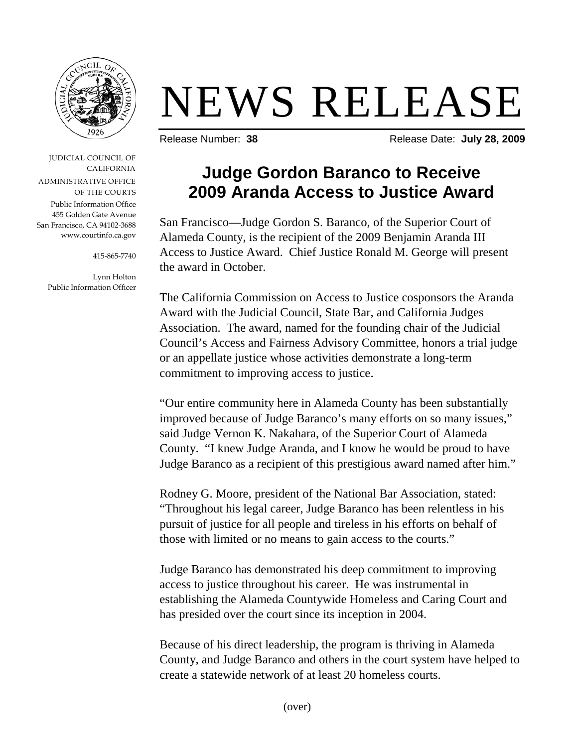

## NEWS RELEASE

Release Number: 38 **Release Date: July 28, 2009** 

JUDICIAL COUNCIL OF CALIFORNIA ADMINISTRATIVE OFFICE OF THE COURTS Public Information Office 455 Golden Gate Avenue San Francisco, CA 94102-3688 www.courtinfo.ca.gov

415-865-7740

Lynn Holton Public Information Officer

## **Judge Gordon Baranco to Receive 2009 Aranda Access to Justice Award**

San Francisco—Judge Gordon S. Baranco, of the Superior Court of Alameda County, is the recipient of the 2009 Benjamin Aranda III Access to Justice Award. Chief Justice Ronald M. George will present the award in October.

The California Commission on Access to Justice cosponsors the Aranda Award with the Judicial Council, State Bar, and California Judges Association. The award, named for the founding chair of the Judicial Council's Access and Fairness Advisory Committee, honors a trial judge or an appellate justice whose activities demonstrate a long-term commitment to improving access to justice.

"Our entire community here in Alameda County has been substantially improved because of Judge Baranco's many efforts on so many issues," said Judge Vernon K. Nakahara, of the Superior Court of Alameda County. "I knew Judge Aranda, and I know he would be proud to have Judge Baranco as a recipient of this prestigious award named after him."

Rodney G. Moore, president of the National Bar Association, stated: "Throughout his legal career, Judge Baranco has been relentless in his pursuit of justice for all people and tireless in his efforts on behalf of those with limited or no means to gain access to the courts."

Judge Baranco has demonstrated his deep commitment to improving access to justice throughout his career. He was instrumental in establishing the Alameda Countywide Homeless and Caring Court and has presided over the court since its inception in 2004.

Because of his direct leadership, the program is thriving in Alameda County, and Judge Baranco and others in the court system have helped to create a statewide network of at least 20 homeless courts.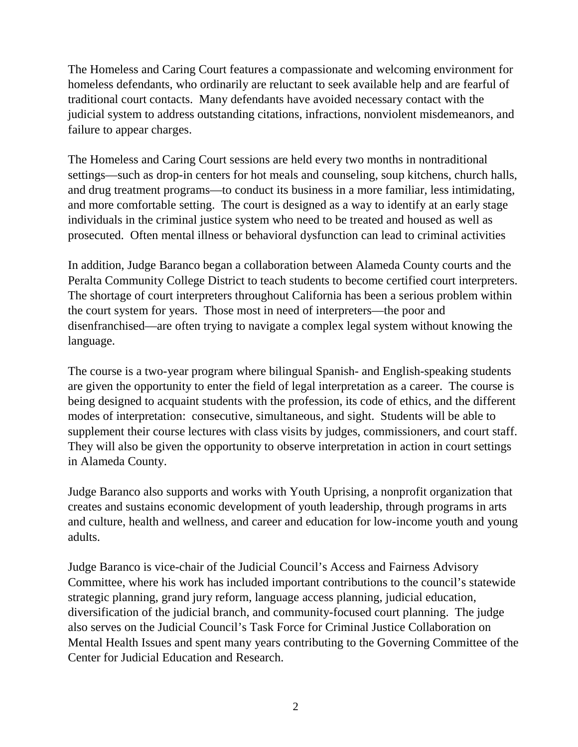The Homeless and Caring Court features a compassionate and welcoming environment for homeless defendants, who ordinarily are reluctant to seek available help and are fearful of traditional court contacts. Many defendants have avoided necessary contact with the judicial system to address outstanding citations, infractions, nonviolent misdemeanors, and failure to appear charges.

The Homeless and Caring Court sessions are held every two months in nontraditional settings—such as drop-in centers for hot meals and counseling, soup kitchens, church halls, and drug treatment programs—to conduct its business in a more familiar, less intimidating, and more comfortable setting. The court is designed as a way to identify at an early stage individuals in the criminal justice system who need to be treated and housed as well as prosecuted. Often mental illness or behavioral dysfunction can lead to criminal activities

In addition, Judge Baranco began a collaboration between Alameda County courts and the Peralta Community College District to teach students to become certified court interpreters. The shortage of court interpreters throughout California has been a serious problem within the court system for years. Those most in need of interpreters—the poor and disenfranchised—are often trying to navigate a complex legal system without knowing the language.

The course is a two-year program where bilingual Spanish- and English-speaking students are given the opportunity to enter the field of legal interpretation as a career. The course is being designed to acquaint students with the profession, its code of ethics, and the different modes of interpretation: consecutive, simultaneous, and sight. Students will be able to supplement their course lectures with class visits by judges, commissioners, and court staff. They will also be given the opportunity to observe interpretation in action in court settings in Alameda County.

Judge Baranco also supports and works with Youth Uprising, a nonprofit organization that creates and sustains economic development of youth leadership, through programs in arts and culture, health and wellness, and career and education for low-income youth and young adults.

Judge Baranco is vice-chair of the Judicial Council's Access and Fairness Advisory Committee, where his work has included important contributions to the council's statewide strategic planning, grand jury reform, language access planning, judicial education, diversification of the judicial branch, and community-focused court planning. The judge also serves on the Judicial Council's Task Force for Criminal Justice Collaboration on Mental Health Issues and spent many years contributing to the Governing Committee of the Center for Judicial Education and Research.